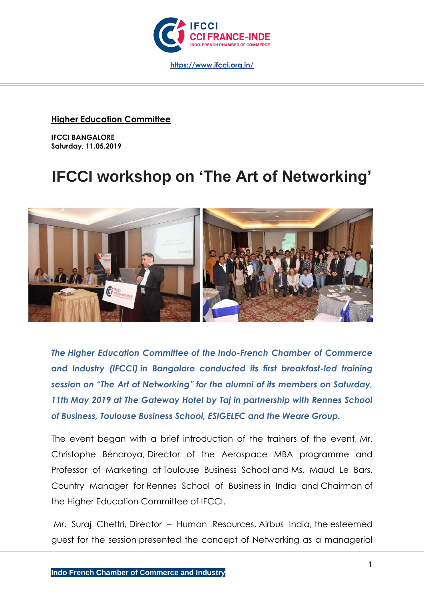

### **Higher Education Committee**

**IFCCI BANGALORE Saturday, 11.05.2019**

# **IFCCI workshop on 'The Art of Networking'**



*The Higher Education Committee of the Indo-French Chamber of Commerce and Industry (IFCCI) in Bangalore conducted its first breakfast-led training session on "The Art of Networking" for the alumni of its members on Saturday, 11th May 2019 at The Gateway Hotel by Taj in partnership with Rennes School of Business, Toulouse Business School, ESIGELEC and the Weare Group.*

The event began with a brief introduction of the trainers of the event, Mr. Christophe Bénaroya, Director of the Aerospace MBA programme and Professor of Marketing at Toulouse Business School and Ms. Maud Le Bars, Country Manager for Rennes School of Business in India and Chairman of the Higher Education Committee of IFCCI.

Mr. Suraj Chettri, Director – Human Resources, Airbus India, the esteemed guest for the session presented the concept of Networking as a managerial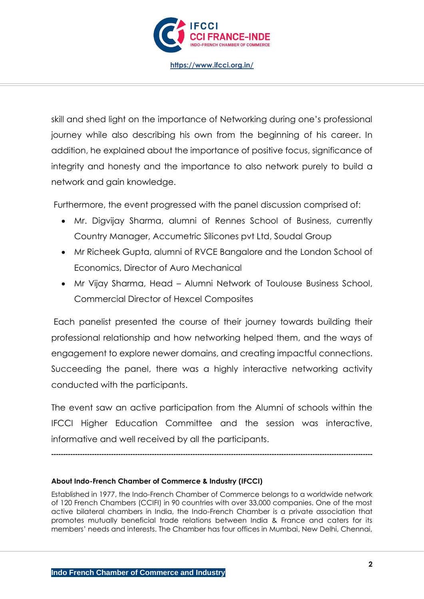

**<https://www.ifcci.org.in/>**

skill and shed light on the importance of Networking during one's professional journey while also describing his own from the beginning of his career. In addition, he explained about the importance of positive focus, significance of integrity and honesty and the importance to also network purely to build a network and gain knowledge.

Furthermore, the event progressed with the panel discussion comprised of:

- Mr. Digvijay Sharma, alumni of Rennes School of Business, currently Country Manager, Accumetric Silicones pvt Ltd, Soudal Group
- Mr Richeek Gupta, alumni of RVCE Bangalore and the London School of Economics, Director of Auro Mechanical
- Mr Vijay Sharma, Head Alumni Network of Toulouse Business School, Commercial Director of Hexcel Composites

Each panelist presented the course of their journey towards building their professional relationship and how networking helped them, and the ways of engagement to explore newer domains, and creating impactful connections. Succeeding the panel, there was a highly interactive networking activity conducted with the participants.

The event saw an active participation from the Alumni of schools within the IFCCI Higher Education Committee and the session was interactive, informative and well received by all the participants.

**--------------------------------------------------------------------------------------------------------------------------------------**

#### **About Indo-French Chamber of Commerce & Industry (IFCCI)**

Established in 1977, the Indo-French Chamber of Commerce belongs to a worldwide network of 120 French Chambers (CCIFI) in 90 countries with over 33,000 companies. One of the most active bilateral chambers in India, the Indo-French Chamber is a private association that promotes mutually beneficial trade relations between India & France and caters for its members' needs and interests. The Chamber has four offices in Mumbai, New Delhi, Chennai,